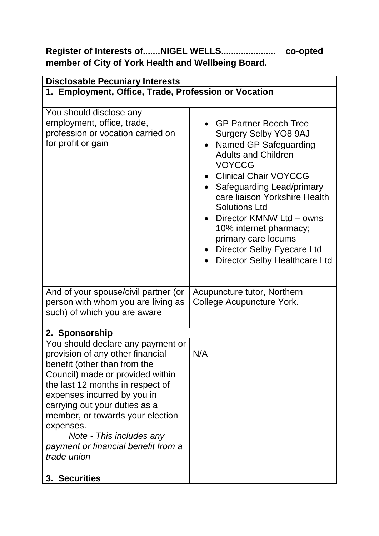## **Register of Interests of.......NIGEL WELLS...................... co-opted member of City of York Health and Wellbeing Board.**

| <b>Disclosable Pecuniary Interests</b>                                                                                                                                                                                                                                                                                                                                           |                                                                                                                                                                                                                                                                                                                                                                                                   |  |
|----------------------------------------------------------------------------------------------------------------------------------------------------------------------------------------------------------------------------------------------------------------------------------------------------------------------------------------------------------------------------------|---------------------------------------------------------------------------------------------------------------------------------------------------------------------------------------------------------------------------------------------------------------------------------------------------------------------------------------------------------------------------------------------------|--|
| 1. Employment, Office, Trade, Profession or Vocation                                                                                                                                                                                                                                                                                                                             |                                                                                                                                                                                                                                                                                                                                                                                                   |  |
| You should disclose any<br>employment, office, trade,<br>profession or vocation carried on<br>for profit or gain                                                                                                                                                                                                                                                                 | • GP Partner Beech Tree<br><b>Surgery Selby YO8 9AJ</b><br>Named GP Safeguarding<br><b>Adults and Children</b><br><b>VOYCCG</b><br><b>Clinical Chair VOYCCG</b><br>Safeguarding Lead/primary<br>care liaison Yorkshire Health<br><b>Solutions Ltd</b><br>Director KMNW Ltd - owns<br>10% internet pharmacy;<br>primary care locums<br>Director Selby Eyecare Ltd<br>Director Selby Healthcare Ltd |  |
| And of your spouse/civil partner (or<br>person with whom you are living as<br>such) of which you are aware                                                                                                                                                                                                                                                                       | Acupuncture tutor, Northern<br>College Acupuncture York.                                                                                                                                                                                                                                                                                                                                          |  |
| 2. Sponsorship                                                                                                                                                                                                                                                                                                                                                                   |                                                                                                                                                                                                                                                                                                                                                                                                   |  |
| You should declare any payment or<br>provision of any other financial<br>benefit (other than from the<br>Council) made or provided within<br>the last 12 months in respect of<br>expenses incurred by you in<br>carrying out your duties as a<br>member, or towards your election<br>expenses.<br>Note - This includes any<br>payment or financial benefit from a<br>trade union | N/A                                                                                                                                                                                                                                                                                                                                                                                               |  |
| 3. Securities                                                                                                                                                                                                                                                                                                                                                                    |                                                                                                                                                                                                                                                                                                                                                                                                   |  |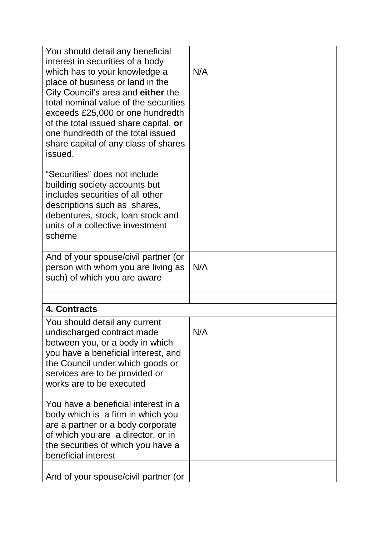| You should detail any beneficial<br>interest in securities of a body<br>which has to your knowledge a<br>place of business or land in the<br>City Council's area and either the<br>total nominal value of the securities<br>exceeds £25,000 or one hundredth<br>of the total issued share capital, or<br>one hundredth of the total issued<br>share capital of any class of shares<br>issued. | N/A |  |
|-----------------------------------------------------------------------------------------------------------------------------------------------------------------------------------------------------------------------------------------------------------------------------------------------------------------------------------------------------------------------------------------------|-----|--|
| "Securities" does not include<br>building society accounts but<br>includes securities of all other<br>descriptions such as shares,<br>debentures, stock, loan stock and<br>units of a collective investment<br>scheme                                                                                                                                                                         |     |  |
| And of your spouse/civil partner (or<br>person with whom you are living as<br>such) of which you are aware                                                                                                                                                                                                                                                                                    | N/A |  |
|                                                                                                                                                                                                                                                                                                                                                                                               |     |  |
| 4. Contracts                                                                                                                                                                                                                                                                                                                                                                                  |     |  |
| You should detail any current<br>undischarged contract made<br>between you, or a body in which<br>you have a beneficial interest, and<br>the Council under which goods or<br>services are to be provided or<br>works are to be executed                                                                                                                                                       | N/A |  |
| You have a beneficial interest in a<br>body which is a firm in which you<br>are a partner or a body corporate<br>of which you are a director, or in<br>the securities of which you have a<br>beneficial interest                                                                                                                                                                              |     |  |
| And of your spouse/civil partner (or                                                                                                                                                                                                                                                                                                                                                          |     |  |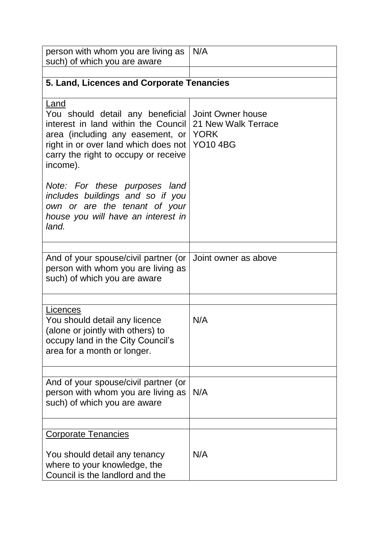| person with whom you are living as<br>such) of which you are aware                                                                                                                                              | N/A                                                                        |  |
|-----------------------------------------------------------------------------------------------------------------------------------------------------------------------------------------------------------------|----------------------------------------------------------------------------|--|
|                                                                                                                                                                                                                 |                                                                            |  |
| 5. Land, Licences and Corporate Tenancies                                                                                                                                                                       |                                                                            |  |
| Land<br>You should detail any beneficial<br>interest in land within the Council<br>area (including any easement, or<br>right in or over land which does not<br>carry the right to occupy or receive<br>income). | Joint Owner house<br>21 New Walk Terrace<br><b>YORK</b><br><b>YO10 4BG</b> |  |
| Note: For these purposes land<br>includes buildings and so if you<br>own or are the tenant of your<br>house you will have an interest in<br>land.                                                               |                                                                            |  |
| And of your spouse/civil partner (or<br>person with whom you are living as<br>such) of which you are aware                                                                                                      | Joint owner as above                                                       |  |
| Licences<br>You should detail any licence<br>(alone or jointly with others) to<br>occupy land in the City Council's<br>area for a month or longer.                                                              | N/A                                                                        |  |
| And of your spouse/civil partner (or<br>person with whom you are living as<br>such) of which you are aware                                                                                                      | N/A                                                                        |  |
| <b>Corporate Tenancies</b><br>You should detail any tenancy<br>where to your knowledge, the<br>Council is the landlord and the                                                                                  | N/A                                                                        |  |